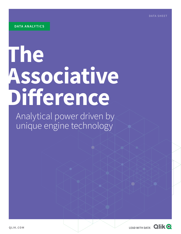**DATA SHEET**

# **The Associative Difference**

Analytical power driven by unique engine technology

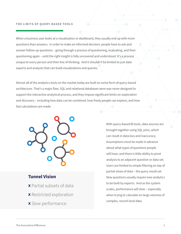### **THE LIMITS OF QUERY-BASED TOOLS**

When a business user looks at a visualization or dashboard, they usually end up with more questions than answers. In order to make an informed decision, people have to ask and answer follow-up questions – going through a process of questioning, evaluating, and then questioning again – until the right insight is fully uncovered and understood. It's a process unique to every person and their line of thinking. And it shouldn't be limited to just data experts and analysts that can build visualizations and queries.

Almost all of the analytics tools on the market today are built on some form of query-based architecture. That's a major flaw. SQL and relational databases were was never designed to support the interactive analytical process, and they impose significant limits on exploration and discovery – including how data can be combined, how freely people can explore, and how fast calculations are made.



# **Tunnel Vision**

- **x** Partial subsets of data
- **x** Restricted exploration
- **x** Slow performance

With query-based BI tools, data sources are brought together using SQL joins, which can result in data loss and inaccuracy. Assumptions must be made in advance about what types of questions people will have, and there is little ability to pivot analysis to an adjacent question or data set. Users are limited to simple filtering on top of partial views of data – the query result set. New questions usually require new analytics to be built by experts. And as the system scales, performance will slow – especially when trying to calculate on large volumes of complex, record-level data.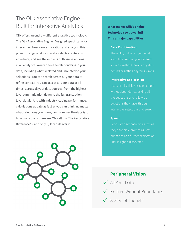# The Qlik Associative Engine – Built for Interactive Analytics

Qlik offers an entirely different analytics technology: The Qlik Associative Engine. Designed specifically for interactive, free-form exploration and analysis, this powerful engine lets you make selections literally anywhere, and see the impacts of those selections in all analytics. You can see the relationships in your data, including what's related and unrelated to your selections. You can search across all your data to refine context. You can access all your data at all times, across all your data sources, from the highestlevel summarization down to the full transactionlevel detail. And with industry leading performance, calculations update as fast as you can think, no matter what selections you make, how complex the data is, or how many users there are. We call this The Associative Difference® – and only Qlik can deliver it.



# **What makes Qlik's engine technology so powerful? Three major capabilities:**

### **Data Combination**

The ability to bring together all sources, without leaving any data

### **Interactive Exploration**

Users of all skill levels can explore without boundaries, asking all interactive selections and search.

### **Speed**

People can get answers as fast as until insight is discovered.

# **Peripheral Vision**

- All Your Data
- $\checkmark$  Explore Without Boundaries
- $\checkmark$  Speed of Thought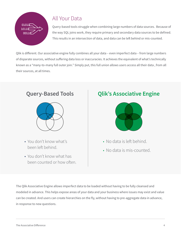

# All Your Data

Query-based tools struggle when combining large numbers of data sources. Because of the way SQL joins work, they require primary and secondary data sources to be defined. This results in an intersection of data, and data can be left behind or mis-counted.

Qlik is different. Our associative engine fully combines all your data – even imperfect data – from large numbers of disparate sources, without suffering data loss or inaccuracies. It achieves the equivalent of what's technically known as a "many-to-many full outer join." Simply put, this full union allows users access all their data , from all their sources, at all times.



- You don't know what's been left behind.
- You don't know what has been counted or how often.

# **Query-Based Tools Qlik's Associative Engine**



- No data is left behind.
- No data is mis-counted.

The Qlik Associative Engine allows imperfect data to be loaded without having to be fully cleansed and modeled in advance. This helps expose areas of your data and your business where issues may exist and value can be created. And users can create hierarchies on the fly, without having to pre-aggregate data in advance, in response to new questions.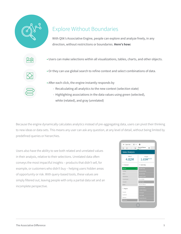

Because the engine dynamically calculates analytics instead of pre-aggregating data, users can pivot their thinking to new ideas or data sets. This means any user can ask any question, at any level of detail, without being limited by predefined queries or hierarchies.

Users also have the ability to see both related and unrelated values in their analysis, relative to their selections. Unrelated data often conveys the most impactful insights – products that didn't sell, for example, or customers who didn't buy – helping users hidden areas of opportunity or risk. With query-based tools, these values are simply filtered out, leaving people with only a partial data set and an incomplete perspective.

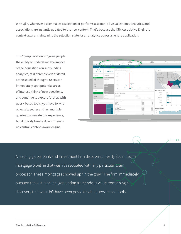With Qlik, whenever a user makes a selection or performs a search, all visualizations, analytics, and associations are instantly updated to the new context. That's because the Qlik Associative Engine is context-aware, maintaining the selection state for all analytics across an entire application.

This "peripheral vision" gives people the ability to understand the impact of their questions on surrounding analytics, at different levels of detail, at the speed of thought. Users can immediately spot potential areas of interest, think of new questions, and continue to explore further. With query-based tools, you have to wire objects together and run multiple queries to simulate this experience, but it quickly breaks down. There is no central, context-aware engine.



A leading global bank and investment firm discovered nearly \$20 million in mortgage pipeline that wasn't associated with any particular loan processor. These mortgages showed up "in the gray." The firm immediately pursued the lost pipeline, generating tremendous value from a single discovery that wouldn't have been possible with query-based tools.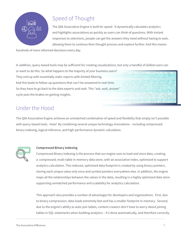

# Speed of Thought

The Qlik Associative Engine is built for speed. It dynamically calculates analytics and highlights associations as quickly as users can think of questions. With instant responses to selections, people can get the answers they need without having to wait, allowing them to continue their thought process and explore further. And this means

hundreds of more informed decisions every day.

In addition, query-based tools may be sufficient for creating visualizations, but only a handful of skilled users can

or want to do this. So what happens to the majority of your business users? They end up with essentially static reports with limited filtering. And this leads to follow-up questions that can't be answered in real-time. So they have to go back to the data experts and wait. This "ask, wait, answer" cycle puts the brakes on getting insights.



# Under the Hood

The Qlik Associative Engine achieves an unmatched combination of speed and flexibility that simply isn't possible with query-based tools. How? By combining several unique technology innovations – including compressed binary indexing, logical inference, and high-performance dynamic calculation.



# **Compressed Binary Indexing**

Compressed Binary Indexing is the process that our engine uses to load and store data, creating a compressed, multi-table in-memory data store, with an associative index, optimized to support analytics calculation. This reduced, optimized data footprint is created by using binary pointers, storing each unique value only once and symbol pointers everywhere else. In addition, the engine maps all the relationships between the values in the data, resulting in a highly optimized data store supporting unmatched performance and scalability for analytics calculation.

This approach also provides a number of advantages for developers and organizations. First, due to binary compression, data loads extremely fast and has a smaller footprint in-memory. Second, due to the engine's ability to auto-join tables, content creators don't have to worry about joining tables in SQL statements when building analytics – it's done automatically, and therefore correctly.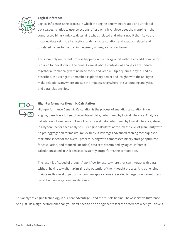

### **Logical Inference**

Logical inference is the process in which the engine determines related and unrelated data values, relative to user selections, after each click. It leverages the mapping in the compressed binary index to determine what's related and what's not. It then flows the included data set into all analytics for dynamic calculation, and exposes related and unrelated values to the user in the green/white/gray color scheme.

This incredibly important process happens in the background without any additional effort required for developers. The benefits are all about context – as analytics are updated together automatically with no need to try and keep multiple queries in sync. And as described, the user gets unmatched exploratory power and insight, with the ability to make selections anywhere and see the impacts everywhere, in surrounding analytics and data relationships.



### **High-Performance Dynamic Calculation**

High-performance Dynamic Calculation is the process of analytics calculation in our engine, based on a full set of record-level data, determined by logical inference. Analytics calculation is based on a full set of record-level data determined by logical inference, stored in a hypercube for each analytic. Our engine calculates at the lowest level of granularity with no pre-aggregation for maximum flexibility. It leverages advanced caching techniques to maximize speed for the overall process. Along with compressed binary storage optimized for calculation, and reduced (included) data sets determined by logical inference, calculation speed in Qlik Sense consistently outperforms the competition.

The result is a "speed of thought" workflow for users, where they can interact with data without having to wait, maximizing the potential of their thought process. And our engine maintains this level of performance when applications are scaled to large, concurrent users bases built on large complex data sets.

This analytics engine technology is our core advantage – and the muscle behind The Associative Difference. And just like a high-performance car, you don't need to be an engineer to feel the difference when you drive it.